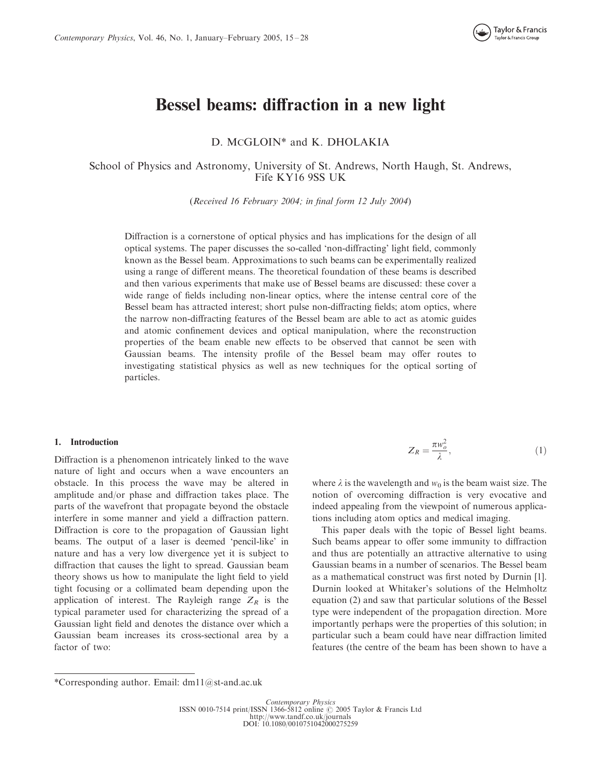

# Bessel beams: diffraction in a new light

D. MCGLOIN\* and K. DHOLAKIA

School of Physics and Astronomy, University of St. Andrews, North Haugh, St. Andrews, Fife KY16 9SS UK

(Received 16 February 2004; in final form 12 July 2004)

Diffraction is a cornerstone of optical physics and has implications for the design of all optical systems. The paper discusses the so-called 'non-diffracting' light field, commonly known as the Bessel beam. Approximations to such beams can be experimentally realized using a range of different means. The theoretical foundation of these beams is described and then various experiments that make use of Bessel beams are discussed: these cover a wide range of fields including non-linear optics, where the intense central core of the Bessel beam has attracted interest; short pulse non-diffracting fields; atom optics, where the narrow non-diffracting features of the Bessel beam are able to act as atomic guides and atomic confinement devices and optical manipulation, where the reconstruction properties of the beam enable new effects to be observed that cannot be seen with Gaussian beams. The intensity profile of the Bessel beam may offer routes to investigating statistical physics as well as new techniques for the optical sorting of particles.

## 1. Introduction

Diffraction is a phenomenon intricately linked to the wave nature of light and occurs when a wave encounters an obstacle. In this process the wave may be altered in amplitude and/or phase and diffraction takes place. The parts of the wavefront that propagate beyond the obstacle interfere in some manner and yield a diffraction pattern. Diffraction is core to the propagation of Gaussian light beams. The output of a laser is deemed 'pencil-like' in nature and has a very low divergence yet it is subject to diffraction that causes the light to spread. Gaussian beam theory shows us how to manipulate the light field to yield tight focusing or a collimated beam depending upon the application of interest. The Rayleigh range  $Z_R$  is the typical parameter used for characterizing the spread of a Gaussian light field and denotes the distance over which a Gaussian beam increases its cross-sectional area by a factor of two:

$$
Z_R = \frac{\pi w_o^2}{\lambda},\tag{1}
$$

where  $\lambda$  is the wavelength and  $w_0$  is the beam waist size. The notion of overcoming diffraction is very evocative and indeed appealing from the viewpoint of numerous applications including atom optics and medical imaging.

This paper deals with the topic of Bessel light beams. Such beams appear to offer some immunity to diffraction and thus are potentially an attractive alternative to using Gaussian beams in a number of scenarios. The Bessel beam as a mathematical construct was first noted by Durnin [1]. Durnin looked at Whitaker's solutions of the Helmholtz equation (2) and saw that particular solutions of the Bessel type were independent of the propagation direction. More importantly perhaps were the properties of this solution; in particular such a beam could have near diffraction limited features (the centre of the beam has been shown to have a

<sup>\*</sup>Corresponding author. Email: dm11@st-and.ac.uk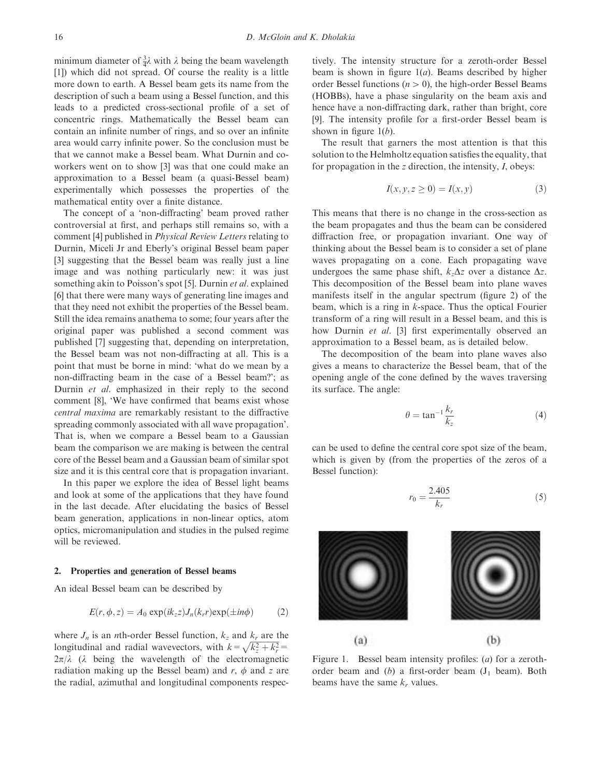minimum diameter of  $\frac{3}{4}\lambda$  with  $\lambda$  being the beam wavelength [1]) which did not encode. Of course the reality is a little [1]) which did not spread. Of course the reality is a little more down to earth. A Bessel beam gets its name from the description of such a beam using a Bessel function, and this leads to a predicted cross-sectional profile of a set of concentric rings. Mathematically the Bessel beam can contain an infinite number of rings, and so over an infinite area would carry infinite power. So the conclusion must be that we cannot make a Bessel beam. What Durnin and coworkers went on to show [3] was that one could make an approximation to a Bessel beam (a quasi-Bessel beam) experimentally which possesses the properties of the mathematical entity over a finite distance.

The concept of a 'non-diffracting' beam proved rather controversial at first, and perhaps still remains so, with a comment [4] published in Physical Review Letters relating to Durnin, Miceli Jr and Eberly's original Bessel beam paper [3] suggesting that the Bessel beam was really just a line image and was nothing particularly new: it was just something akin to Poisson's spot [5]. Durnin *et al.* explained [6] that there were many ways of generating line images and that they need not exhibit the properties of the Bessel beam. Still the idea remains anathema to some; four years after the original paper was published a second comment was published [7] suggesting that, depending on interpretation, the Bessel beam was not non-diffracting at all. This is a point that must be borne in mind: 'what do we mean by a non-diffracting beam in the case of a Bessel beam?'; as Durnin et al. emphasized in their reply to the second comment [8], 'We have confirmed that beams exist whose central maxima are remarkably resistant to the diffractive spreading commonly associated with all wave propagation'. That is, when we compare a Bessel beam to a Gaussian beam the comparison we are making is between the central core of the Bessel beam and a Gaussian beam of similar spot size and it is this central core that is propagation invariant.

In this paper we explore the idea of Bessel light beams and look at some of the applications that they have found in the last decade. After elucidating the basics of Bessel beam generation, applications in non-linear optics, atom optics, micromanipulation and studies in the pulsed regime will be reviewed.

## 2. Properties and generation of Bessel beams

An ideal Bessel beam can be described by

$$
E(r, \phi, z) = A_0 \exp(ik_z z) J_n(k_r r) \exp(\pm in\phi)
$$
 (2)

where  $J_n$  is an *n*th-order Bessel function,  $k_z$  and  $k_r$  are the longitudinal and radial wavevectors, with  $k = \sqrt{k_z^2 + k_r^2} =$  $2\pi/\lambda$  ( $\lambda$  being the wavelength of the electromagnetic radiation making up the Bessel beam) and r,  $\phi$  and z are the radial, azimuthal and longitudinal components respec-

tively. The intensity structure for a zeroth-order Bessel beam is shown in figure  $1(a)$ . Beams described by higher order Bessel functions ( $n>0$ ), the high-order Bessel Beams (HOBBs), have a phase singularity on the beam axis and hence have a non-diffracting dark, rather than bright, core [9]. The intensity profile for a first-order Bessel beam is shown in figure  $1(b)$ .

The result that garners the most attention is that this solution to the Helmholtz equation satisfies the equality, that for propagation in the  $z$  direction, the intensity,  $I$ , obeys:

$$
I(x, y, z \ge 0) = I(x, y) \tag{3}
$$

This means that there is no change in the cross-section as the beam propagates and thus the beam can be considered diffraction free, or propagation invariant. One way of thinking about the Bessel beam is to consider a set of plane waves propagating on a cone. Each propagating wave undergoes the same phase shift,  $k_z\Delta z$  over a distance  $\Delta z$ . This decomposition of the Bessel beam into plane waves manifests itself in the angular spectrum (figure 2) of the beam, which is a ring in  $k$ -space. Thus the optical Fourier transform of a ring will result in a Bessel beam, and this is how Durnin et al. [3] first experimentally observed an approximation to a Bessel beam, as is detailed below.

The decomposition of the beam into plane waves also gives a means to characterize the Bessel beam, that of the opening angle of the cone defined by the waves traversing its surface. The angle:

$$
\theta = \tan^{-1} \frac{k_r}{k_z} \tag{4}
$$

can be used to define the central core spot size of the beam, which is given by (from the properties of the zeros of a Bessel function):

$$
r_0 = \frac{2.405}{k_r} \tag{5}
$$



Figure 1. Bessel beam intensity profiles: (*a*) for a zerothorder beam and  $(b)$  a first-order beam  $(J_1)$  beam). Both beams have the same  $k_r$  values.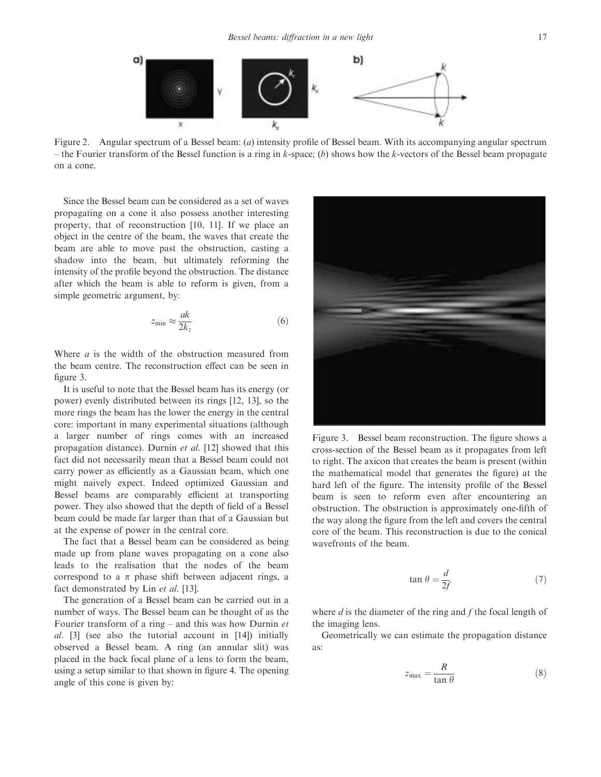

Figure 2. Angular spectrum of a Bessel beam: (*a*) intensity profile of Bessel beam. With its accompanying angular spectrum – the Fourier transform of the Bessel function is a ring in  $k$ -space; (b) shows how the  $k$ -vectors of the Bessel beam propagate on a cone.

Since the Bessel beam can be considered as a set of waves propagating on a cone it also possess another interesting property, that of reconstruction [10, 11]. If we place an object in the centre of the beam, the waves that create the beam are able to move past the obstruction, casting a shadow into the beam, but ultimately reforming the intensity of the profile beyond the obstruction. The distance after which the beam is able to reform is given, from a simple geometric argument, by:

$$
z_{\min} \approx \frac{ak}{2k_z} \tag{6}
$$

Where  $a$  is the width of the obstruction measured from the beam centre. The reconstruction effect can be seen in figure 3.

It is useful to note that the Bessel beam has its energy (or power) evenly distributed between its rings [12, 13], so the more rings the beam has the lower the energy in the central core: important in many experimental situations (although a larger number of rings comes with an increased propagation distance). Durnin et al. [12] showed that this fact did not necessarily mean that a Bessel beam could not carry power as efficiently as a Gaussian beam, which one might naively expect. Indeed optimized Gaussian and Bessel beams are comparably efficient at transporting power. They also showed that the depth of field of a Bessel beam could be made far larger than that of a Gaussian but at the expense of power in the central core.

The fact that a Bessel beam can be considered as being made up from plane waves propagating on a cone also leads to the realisation that the nodes of the beam correspond to a  $\pi$  phase shift between adjacent rings, a fact demonstrated by Lin et al. [13].

The generation of a Bessel beam can be carried out in a number of ways. The Bessel beam can be thought of as the Fourier transform of a ring – and this was how Durnin et al. [3] (see also the tutorial account in [14]) initially observed a Bessel beam. A ring (an annular slit) was placed in the back focal plane of a lens to form the beam, using a setup similar to that shown in figure 4. The opening angle of this cone is given by:



Figure 3. Bessel beam reconstruction. The figure shows a cross-section of the Bessel beam as it propagates from left to right. The axicon that creates the beam is present (within the mathematical model that generates the figure) at the hard left of the figure. The intensity profile of the Bessel beam is seen to reform even after encountering an obstruction. The obstruction is approximately one-fifth of the way along the figure from the left and covers the central core of the beam. This reconstruction is due to the conical wavefronts of the beam.

$$
\tan \theta = \frac{d}{2f} \tag{7}
$$

where  $d$  is the diameter of the ring and  $f$  the focal length of the imaging lens.

Geometrically we can estimate the propagation distance as:

$$
z_{\text{max}} = \frac{R}{\tan \theta} \tag{8}
$$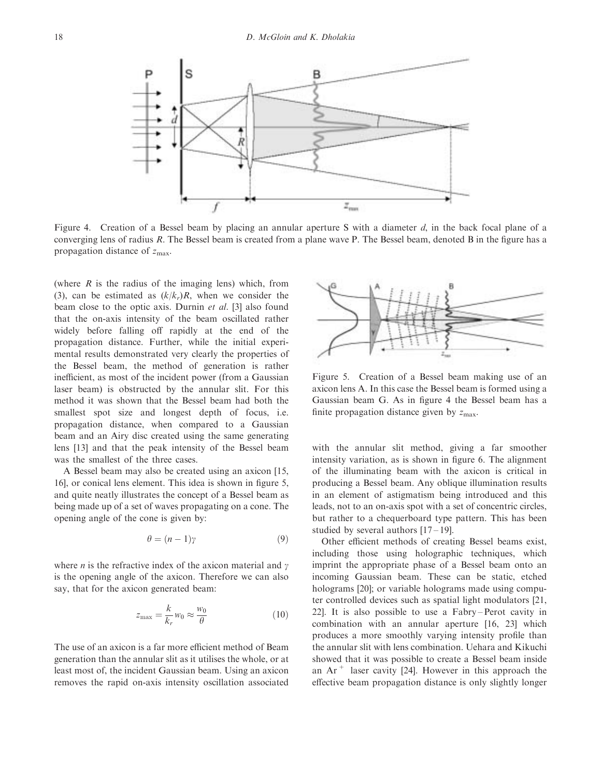

Figure 4. Creation of a Bessel beam by placing an annular aperture S with a diameter  $d$ , in the back focal plane of a converging lens of radius R. The Bessel beam is created from a plane wave P. The Bessel beam, denoted B in the figure has a propagation distance of  $z_{\text{max}}$ .

(where  $R$  is the radius of the imaging lens) which, from (3), can be estimated as  $(k/k_r)R$ , when we consider the beam close to the optic axis. Durnin *et al.* [3] also found that the on-axis intensity of the beam oscillated rather widely before falling off rapidly at the end of the propagation distance. Further, while the initial experimental results demonstrated very clearly the properties of the Bessel beam, the method of generation is rather inefficient, as most of the incident power (from a Gaussian laser beam) is obstructed by the annular slit. For this method it was shown that the Bessel beam had both the smallest spot size and longest depth of focus, i.e. propagation distance, when compared to a Gaussian beam and an Airy disc created using the same generating lens [13] and that the peak intensity of the Bessel beam was the smallest of the three cases.

A Bessel beam may also be created using an axicon [15, 16], or conical lens element. This idea is shown in figure 5, and quite neatly illustrates the concept of a Bessel beam as being made up of a set of waves propagating on a cone. The opening angle of the cone is given by:

$$
\theta = (n-1)\gamma \tag{9}
$$

where *n* is the refractive index of the axicon material and  $\gamma$ is the opening angle of the axicon. Therefore we can also say, that for the axicon generated beam:

$$
z_{\text{max}} = \frac{k}{k_r} w_0 \approx \frac{w_0}{\theta} \tag{10}
$$

The use of an axicon is a far more efficient method of Beam generation than the annular slit as it utilises the whole, or at least most of, the incident Gaussian beam. Using an axicon removes the rapid on-axis intensity oscillation associated



Figure 5. Creation of a Bessel beam making use of an axicon lens A. In this case the Bessel beam is formed using a Gaussian beam G. As in figure 4 the Bessel beam has a finite propagation distance given by  $z_{\text{max}}$ .

with the annular slit method, giving a far smoother intensity variation, as is shown in figure 6. The alignment of the illuminating beam with the axicon is critical in producing a Bessel beam. Any oblique illumination results in an element of astigmatism being introduced and this leads, not to an on-axis spot with a set of concentric circles, but rather to a chequerboard type pattern. This has been studied by several authors  $[17-19]$ .

Other efficient methods of creating Bessel beams exist, including those using holographic techniques, which imprint the appropriate phase of a Bessel beam onto an incoming Gaussian beam. These can be static, etched holograms [20]; or variable holograms made using computer controlled devices such as spatial light modulators [21, 22]. It is also possible to use a Fabry – Perot cavity in combination with an annular aperture [16, 23] which produces a more smoothly varying intensity profile than the annular slit with lens combination. Uehara and Kikuchi showed that it was possible to create a Bessel beam inside an  $Ar^+$  laser cavity [24]. However in this approach the effective beam propagation distance is only slightly longer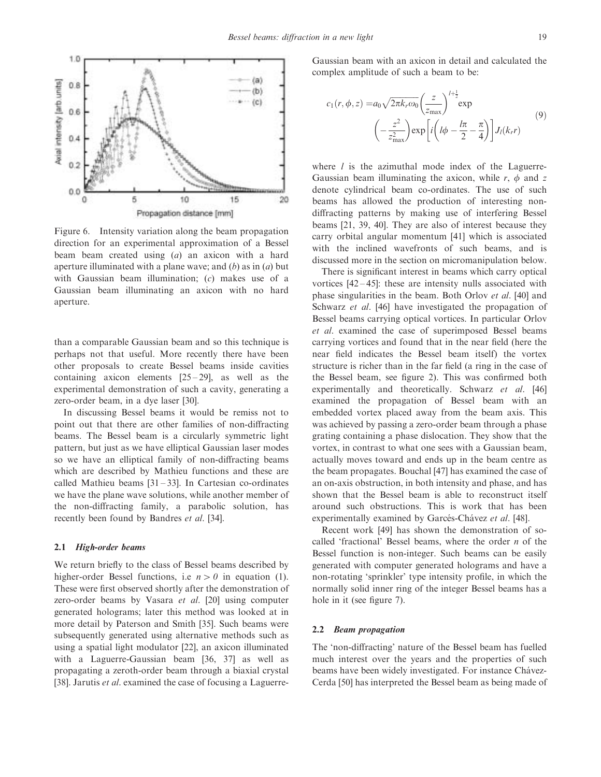

Figure 6. Intensity variation along the beam propagation direction for an experimental approximation of a Bessel beam beam created using (a) an axicon with a hard aperture illuminated with a plane wave; and  $(b)$  as in  $(a)$  but with Gaussian beam illumination; (c) makes use of a Gaussian beam illuminating an axicon with no hard aperture.

than a comparable Gaussian beam and so this technique is perhaps not that useful. More recently there have been other proposals to create Bessel beams inside cavities containing axicon elements  $[25-29]$ , as well as the experimental demonstration of such a cavity, generating a zero-order beam, in a dye laser [30].

In discussing Bessel beams it would be remiss not to point out that there are other families of non-diffracting beams. The Bessel beam is a circularly symmetric light pattern, but just as we have elliptical Gaussian laser modes so we have an elliptical family of non-diffracting beams which are described by Mathieu functions and these are called Mathieu beams  $[31-33]$ . In Cartesian co-ordinates we have the plane wave solutions, while another member of the non-diffracting family, a parabolic solution, has recently been found by Bandres et al. [34].

### 2.1 High-order beams

We return briefly to the class of Bessel beams described by higher-order Bessel functions, i.e  $n > 0$  in equation (1). These were first observed shortly after the demonstration of zero-order beams by Vasara et al. [20] using computer generated holograms; later this method was looked at in more detail by Paterson and Smith [35]. Such beams were subsequently generated using alternative methods such as using a spatial light modulator [22], an axicon illuminated with a Laguerre-Gaussian beam [36, 37] as well as propagating a zeroth-order beam through a biaxial crystal [38]. Jarutis *et al.* examined the case of focusing a LaguerreGaussian beam with an axicon in detail and calculated the complex amplitude of such a beam to be:

$$
c_1(r, \phi, z) = a_0 \sqrt{2\pi k_r \omega_0} \left(\frac{z}{z_{\text{max}}}\right)^{l + \frac{1}{2}} \exp\left(-\frac{z^2}{z_{\text{max}}^2}\right) \exp\left[i\left(l\phi - \frac{l\pi}{2} - \frac{\pi}{4}\right)\right] J_l(k_r r) \tag{9}
$$

where  $l$  is the azimuthal mode index of the Laguerre-Gaussian beam illuminating the axicon, while  $r$ ,  $\phi$  and z denote cylindrical beam co-ordinates. The use of such beams has allowed the production of interesting nondiffracting patterns by making use of interfering Bessel beams [21, 39, 40]. They are also of interest because they carry orbital angular momentum [41] which is associated with the inclined wavefronts of such beams, and is discussed more in the section on micromanipulation below.

There is significant interest in beams which carry optical vortices  $[42-45]$ : these are intensity nulls associated with phase singularities in the beam. Both Orlov et al. [40] and Schwarz et al. [46] have investigated the propagation of Bessel beams carrying optical vortices. In particular Orlov et al. examined the case of superimposed Bessel beams carrying vortices and found that in the near field (here the near field indicates the Bessel beam itself) the vortex structure is richer than in the far field (a ring in the case of the Bessel beam, see figure 2). This was confirmed both experimentally and theoretically. Schwarz et al. [46] examined the propagation of Bessel beam with an embedded vortex placed away from the beam axis. This was achieved by passing a zero-order beam through a phase grating containing a phase dislocation. They show that the vortex, in contrast to what one sees with a Gaussian beam, actually moves toward and ends up in the beam centre as the beam propagates. Bouchal [47] has examined the case of an on-axis obstruction, in both intensity and phase, and has shown that the Bessel beam is able to reconstruct itself around such obstructions. This is work that has been experimentally examined by Garcés-Chávez et al. [48].

Recent work [49] has shown the demonstration of socalled 'fractional' Bessel beams, where the order  $n$  of the Bessel function is non-integer. Such beams can be easily generated with computer generated holograms and have a non-rotating 'sprinkler' type intensity profile, in which the normally solid inner ring of the integer Bessel beams has a hole in it (see figure 7).

# 2.2 Beam propagation

The 'non-diffracting' nature of the Bessel beam has fuelled much interest over the years and the properties of such beams have been widely investigated. For instance Chávez-Cerda [50] has interpreted the Bessel beam as being made of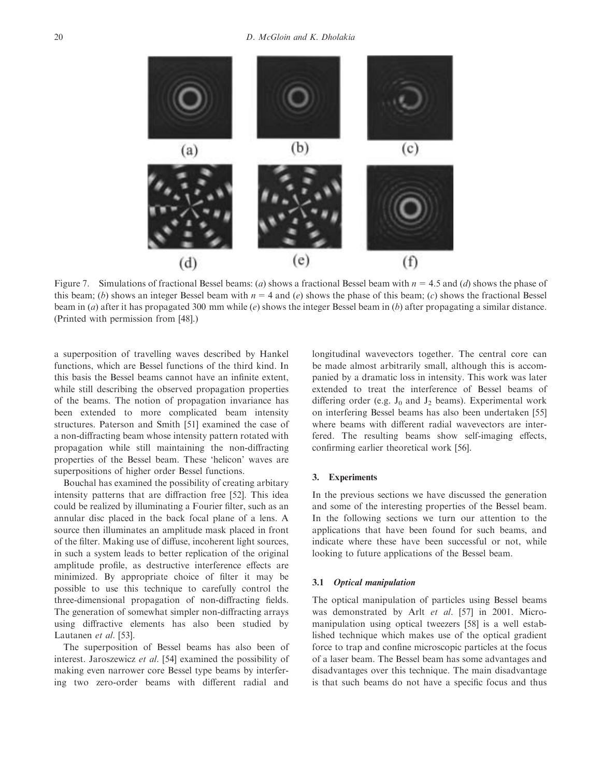

Figure 7. Simulations of fractional Bessel beams: (a) shows a fractional Bessel beam with  $n = 4.5$  and (d) shows the phase of this beam; (b) shows an integer Bessel beam with  $n=4$  and (e) shows the phase of this beam; (c) shows the fractional Bessel beam in (a) after it has propagated 300 mm while (e) shows the integer Bessel beam in (b) after propagating a similar distance. (Printed with permission from [48].)

a superposition of travelling waves described by Hankel functions, which are Bessel functions of the third kind. In this basis the Bessel beams cannot have an infinite extent, while still describing the observed propagation properties of the beams. The notion of propagation invariance has been extended to more complicated beam intensity structures. Paterson and Smith [51] examined the case of a non-diffracting beam whose intensity pattern rotated with propagation while still maintaining the non-diffracting properties of the Bessel beam. These 'helicon' waves are superpositions of higher order Bessel functions.

Bouchal has examined the possibility of creating arbitary intensity patterns that are diffraction free [52]. This idea could be realized by illuminating a Fourier filter, such as an annular disc placed in the back focal plane of a lens. A source then illuminates an amplitude mask placed in front of the filter. Making use of diffuse, incoherent light sources, in such a system leads to better replication of the original amplitude profile, as destructive interference effects are minimized. By appropriate choice of filter it may be possible to use this technique to carefully control the three-dimensional propagation of non-diffracting fields. The generation of somewhat simpler non-diffracting arrays using diffractive elements has also been studied by Lautanen et al. [53].

The superposition of Bessel beams has also been of interest. Jaroszewicz et al. [54] examined the possibility of making even narrower core Bessel type beams by interfering two zero-order beams with different radial and

longitudinal wavevectors together. The central core can be made almost arbitrarily small, although this is accompanied by a dramatic loss in intensity. This work was later extended to treat the interference of Bessel beams of differing order (e.g.  $J_0$  and  $J_2$  beams). Experimental work on interfering Bessel beams has also been undertaken [55] where beams with different radial wavevectors are interfered. The resulting beams show self-imaging effects, confirming earlier theoretical work [56].

#### 3. Experiments

In the previous sections we have discussed the generation and some of the interesting properties of the Bessel beam. In the following sections we turn our attention to the applications that have been found for such beams, and indicate where these have been successful or not, while looking to future applications of the Bessel beam.

## 3.1 Optical manipulation

The optical manipulation of particles using Bessel beams was demonstrated by Arlt et al. [57] in 2001. Micromanipulation using optical tweezers [58] is a well established technique which makes use of the optical gradient force to trap and confine microscopic particles at the focus of a laser beam. The Bessel beam has some advantages and disadvantages over this technique. The main disadvantage is that such beams do not have a specific focus and thus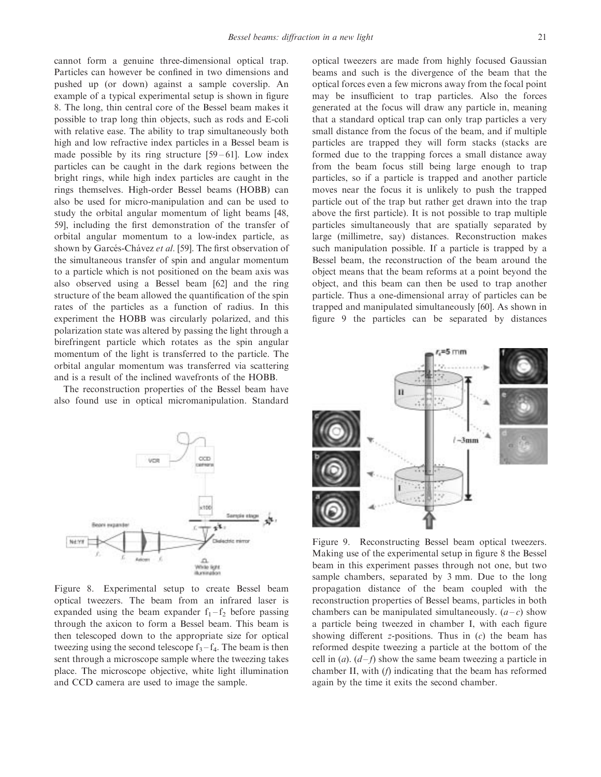cannot form a genuine three-dimensional optical trap. Particles can however be confined in two dimensions and pushed up (or down) against a sample coverslip. An example of a typical experimental setup is shown in figure 8. The long, thin central core of the Bessel beam makes it possible to trap long thin objects, such as rods and E-coli with relative ease. The ability to trap simultaneously both high and low refractive index particles in a Bessel beam is made possible by its ring structure  $[59-61]$ . Low index particles can be caught in the dark regions between the bright rings, while high index particles are caught in the rings themselves. High-order Bessel beams (HOBB) can also be used for micro-manipulation and can be used to study the orbital angular momentum of light beams [48, 59], including the first demonstration of the transfer of orbital angular momentum to a low-index particle, as shown by Garcés-Chávez et al. [59]. The first observation of the simultaneous transfer of spin and angular momentum to a particle which is not positioned on the beam axis was also observed using a Bessel beam [62] and the ring structure of the beam allowed the quantification of the spin rates of the particles as a function of radius. In this experiment the HOBB was circularly polarized, and this polarization state was altered by passing the light through a birefringent particle which rotates as the spin angular momentum of the light is transferred to the particle. The orbital angular momentum was transferred via scattering and is a result of the inclined wavefronts of the HOBB.

The reconstruction properties of the Bessel beam have also found use in optical micromanipulation. Standard



Figure 8. Experimental setup to create Bessel beam optical tweezers. The beam from an infrared laser is expanded using the beam expander  $f_1 - f_2$  before passing through the axicon to form a Bessel beam. This beam is then telescoped down to the appropriate size for optical tweezing using the second telescope  $f_3 - f_4$ . The beam is then sent through a microscope sample where the tweezing takes place. The microscope objective, white light illumination and CCD camera are used to image the sample.

optical tweezers are made from highly focused Gaussian beams and such is the divergence of the beam that the optical forces even a few microns away from the focal point may be insufficient to trap particles. Also the forces generated at the focus will draw any particle in, meaning that a standard optical trap can only trap particles a very small distance from the focus of the beam, and if multiple particles are trapped they will form stacks (stacks are formed due to the trapping forces a small distance away from the beam focus still being large enough to trap particles, so if a particle is trapped and another particle moves near the focus it is unlikely to push the trapped particle out of the trap but rather get drawn into the trap above the first particle). It is not possible to trap multiple particles simultaneously that are spatially separated by large (millimetre, say) distances. Reconstruction makes such manipulation possible. If a particle is trapped by a Bessel beam, the reconstruction of the beam around the object means that the beam reforms at a point beyond the object, and this beam can then be used to trap another particle. Thus a one-dimensional array of particles can be trapped and manipulated simultaneously [60]. As shown in figure 9 the particles can be separated by distances



Figure 9. Reconstructing Bessel beam optical tweezers. Making use of the experimental setup in figure 8 the Bessel beam in this experiment passes through not one, but two sample chambers, separated by 3 mm. Due to the long propagation distance of the beam coupled with the reconstruction properties of Bessel beams, particles in both chambers can be manipulated simultaneously.  $(a-c)$  show a particle being tweezed in chamber I, with each figure showing different z-positions. Thus in  $(c)$  the beam has reformed despite tweezing a particle at the bottom of the cell in (*a*).  $(d-f)$  show the same beam tweezing a particle in chamber II, with (f) indicating that the beam has reformed again by the time it exits the second chamber.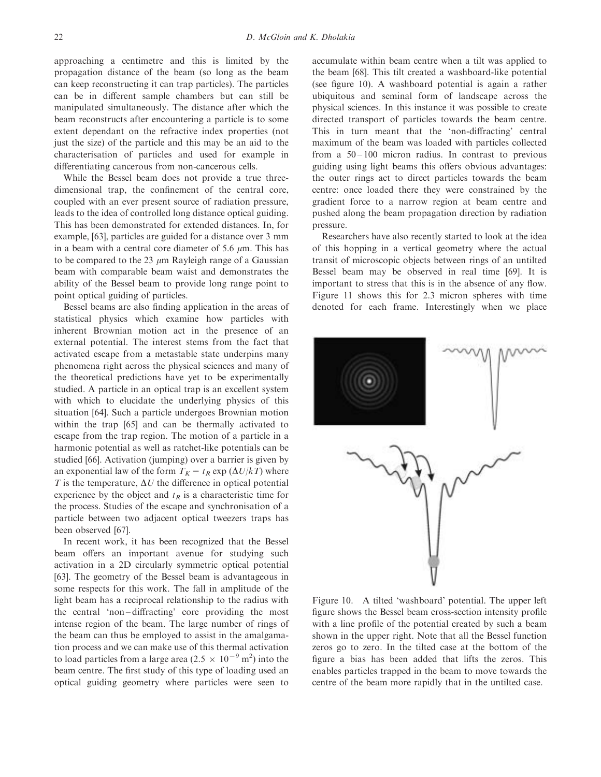approaching a centimetre and this is limited by the propagation distance of the beam (so long as the beam can keep reconstructing it can trap particles). The particles can be in different sample chambers but can still be manipulated simultaneously. The distance after which the beam reconstructs after encountering a particle is to some extent dependant on the refractive index properties (not just the size) of the particle and this may be an aid to the characterisation of particles and used for example in differentiating cancerous from non-cancerous cells.

While the Bessel beam does not provide a true threedimensional trap, the confinement of the central core, coupled with an ever present source of radiation pressure, leads to the idea of controlled long distance optical guiding. This has been demonstrated for extended distances. In, for example, [63], particles are guided for a distance over 3 mm in a beam with a central core diameter of 5.6  $\mu$ m. This has to be compared to the 23  $\mu$ m Rayleigh range of a Gaussian beam with comparable beam waist and demonstrates the ability of the Bessel beam to provide long range point to point optical guiding of particles.

Bessel beams are also finding application in the areas of statistical physics which examine how particles with inherent Brownian motion act in the presence of an external potential. The interest stems from the fact that activated escape from a metastable state underpins many phenomena right across the physical sciences and many of the theoretical predictions have yet to be experimentally studied. A particle in an optical trap is an excellent system with which to elucidate the underlying physics of this situation [64]. Such a particle undergoes Brownian motion within the trap [65] and can be thermally activated to escape from the trap region. The motion of a particle in a harmonic potential as well as ratchet-like potentials can be studied [66]. Activation (jumping) over a barrier is given by an exponential law of the form  $T_K = t_R \exp (\Delta U/kT)$  where T is the temperature,  $\Delta U$  the difference in optical potential experience by the object and  $t_R$  is a characteristic time for the process. Studies of the escape and synchronisation of a particle between two adjacent optical tweezers traps has been observed [67].

In recent work, it has been recognized that the Bessel beam offers an important avenue for studying such activation in a 2D circularly symmetric optical potential [63]. The geometry of the Bessel beam is advantageous in some respects for this work. The fall in amplitude of the light beam has a reciprocal relationship to the radius with the central 'non – diffracting' core providing the most intense region of the beam. The large number of rings of the beam can thus be employed to assist in the amalgamation process and we can make use of this thermal activation to load particles from a large area (2.5  $\times$  10<sup>-9</sup> m<sup>2</sup>) into the beam centre. The first study of this type of loading used an optical guiding geometry where particles were seen to

accumulate within beam centre when a tilt was applied to the beam [68]. This tilt created a washboard-like potential (see figure 10). A washboard potential is again a rather ubiquitous and seminal form of landscape across the physical sciences. In this instance it was possible to create directed transport of particles towards the beam centre. This in turn meant that the 'non-diffracting' central maximum of the beam was loaded with particles collected from a  $50 - 100$  micron radius. In contrast to previous guiding using light beams this offers obvious advantages: the outer rings act to direct particles towards the beam centre: once loaded there they were constrained by the gradient force to a narrow region at beam centre and pushed along the beam propagation direction by radiation pressure.

Researchers have also recently started to look at the idea of this hopping in a vertical geometry where the actual transit of microscopic objects between rings of an untilted Bessel beam may be observed in real time [69]. It is important to stress that this is in the absence of any flow. Figure 11 shows this for 2.3 micron spheres with time denoted for each frame. Interestingly when we place



Figure 10. A tilted 'washboard' potential. The upper left figure shows the Bessel beam cross-section intensity profile with a line profile of the potential created by such a beam shown in the upper right. Note that all the Bessel function zeros go to zero. In the tilted case at the bottom of the figure a bias has been added that lifts the zeros. This enables particles trapped in the beam to move towards the centre of the beam more rapidly that in the untilted case.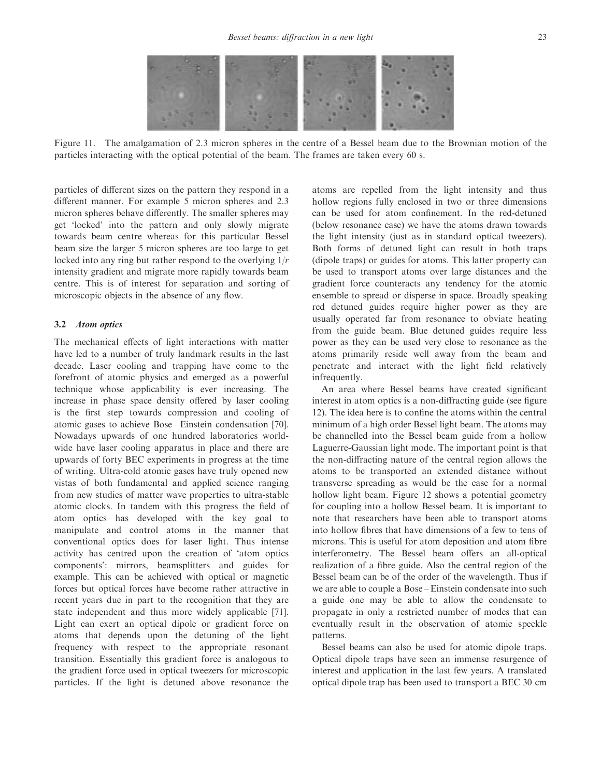

Figure 11. The amalgamation of 2.3 micron spheres in the centre of a Bessel beam due to the Brownian motion of the particles interacting with the optical potential of the beam. The frames are taken every 60 s.

particles of different sizes on the pattern they respond in a different manner. For example 5 micron spheres and 2.3 micron spheres behave differently. The smaller spheres may get 'locked' into the pattern and only slowly migrate towards beam centre whereas for this particular Bessel beam size the larger 5 micron spheres are too large to get locked into any ring but rather respond to the overlying  $1/r$ intensity gradient and migrate more rapidly towards beam centre. This is of interest for separation and sorting of microscopic objects in the absence of any flow.

# 3.2 Atom optics

The mechanical effects of light interactions with matter have led to a number of truly landmark results in the last decade. Laser cooling and trapping have come to the forefront of atomic physics and emerged as a powerful technique whose applicability is ever increasing. The increase in phase space density offered by laser cooling is the first step towards compression and cooling of atomic gases to achieve Bose – Einstein condensation [70]. Nowadays upwards of one hundred laboratories worldwide have laser cooling apparatus in place and there are upwards of forty BEC experiments in progress at the time of writing. Ultra-cold atomic gases have truly opened new vistas of both fundamental and applied science ranging from new studies of matter wave properties to ultra-stable atomic clocks. In tandem with this progress the field of atom optics has developed with the key goal to manipulate and control atoms in the manner that conventional optics does for laser light. Thus intense activity has centred upon the creation of 'atom optics components': mirrors, beamsplitters and guides for example. This can be achieved with optical or magnetic forces but optical forces have become rather attractive in recent years due in part to the recognition that they are state independent and thus more widely applicable [71]. Light can exert an optical dipole or gradient force on atoms that depends upon the detuning of the light frequency with respect to the appropriate resonant transition. Essentially this gradient force is analogous to the gradient force used in optical tweezers for microscopic particles. If the light is detuned above resonance the

atoms are repelled from the light intensity and thus hollow regions fully enclosed in two or three dimensions can be used for atom confinement. In the red-detuned (below resonance case) we have the atoms drawn towards the light intensity (just as in standard optical tweezers). Both forms of detuned light can result in both traps (dipole traps) or guides for atoms. This latter property can be used to transport atoms over large distances and the gradient force counteracts any tendency for the atomic ensemble to spread or disperse in space. Broadly speaking red detuned guides require higher power as they are usually operated far from resonance to obviate heating from the guide beam. Blue detuned guides require less power as they can be used very close to resonance as the atoms primarily reside well away from the beam and penetrate and interact with the light field relatively infrequently.

An area where Bessel beams have created significant interest in atom optics is a non-diffracting guide (see figure 12). The idea here is to confine the atoms within the central minimum of a high order Bessel light beam. The atoms may be channelled into the Bessel beam guide from a hollow Laguerre-Gaussian light mode. The important point is that the non-diffracting nature of the central region allows the atoms to be transported an extended distance without transverse spreading as would be the case for a normal hollow light beam. Figure 12 shows a potential geometry for coupling into a hollow Bessel beam. It is important to note that researchers have been able to transport atoms into hollow fibres that have dimensions of a few to tens of microns. This is useful for atom deposition and atom fibre interferometry. The Bessel beam offers an all-optical realization of a fibre guide. Also the central region of the Bessel beam can be of the order of the wavelength. Thus if we are able to couple a Bose – Einstein condensate into such a guide one may be able to allow the condensate to propagate in only a restricted number of modes that can eventually result in the observation of atomic speckle patterns.

Bessel beams can also be used for atomic dipole traps. Optical dipole traps have seen an immense resurgence of interest and application in the last few years. A translated optical dipole trap has been used to transport a BEC 30 cm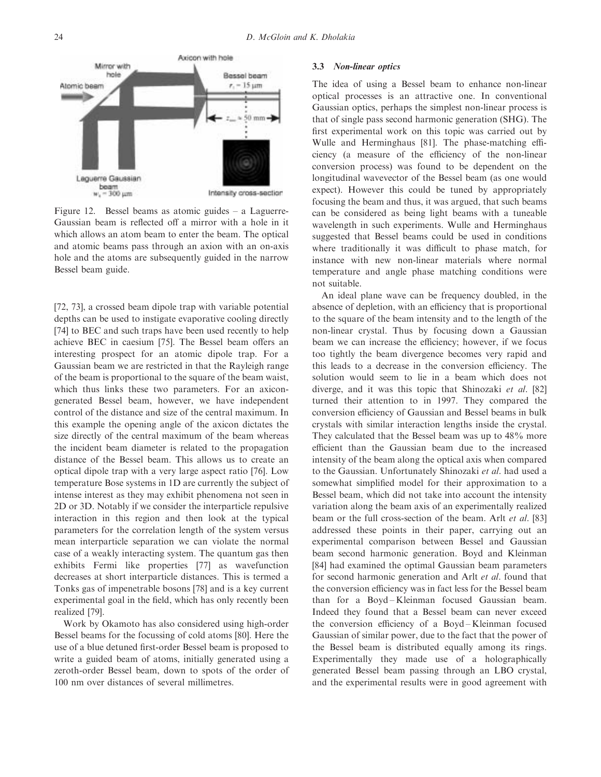

Figure 12. Bessel beams as atomic guides – a Laguerre-Gaussian beam is reflected off a mirror with a hole in it which allows an atom beam to enter the beam. The optical and atomic beams pass through an axion with an on-axis hole and the atoms are subsequently guided in the narrow Bessel beam guide.

[72, 73], a crossed beam dipole trap with variable potential depths can be used to instigate evaporative cooling directly [74] to BEC and such traps have been used recently to help achieve BEC in caesium [75]. The Bessel beam offers an interesting prospect for an atomic dipole trap. For a Gaussian beam we are restricted in that the Rayleigh range of the beam is proportional to the square of the beam waist, which thus links these two parameters. For an axicongenerated Bessel beam, however, we have independent control of the distance and size of the central maximum. In this example the opening angle of the axicon dictates the size directly of the central maximum of the beam whereas the incident beam diameter is related to the propagation distance of the Bessel beam. This allows us to create an optical dipole trap with a very large aspect ratio [76]. Low temperature Bose systems in 1D are currently the subject of intense interest as they may exhibit phenomena not seen in 2D or 3D. Notably if we consider the interparticle repulsive interaction in this region and then look at the typical parameters for the correlation length of the system versus mean interparticle separation we can violate the normal case of a weakly interacting system. The quantum gas then exhibits Fermi like properties [77] as wavefunction decreases at short interparticle distances. This is termed a Tonks gas of impenetrable bosons [78] and is a key current experimental goal in the field, which has only recently been realized [79].

Work by Okamoto has also considered using high-order Bessel beams for the focussing of cold atoms [80]. Here the use of a blue detuned first-order Bessel beam is proposed to write a guided beam of atoms, initially generated using a zeroth-order Bessel beam, down to spots of the order of 100 nm over distances of several millimetres.

#### 3.3 Non-linear optics

The idea of using a Bessel beam to enhance non-linear optical processes is an attractive one. In conventional Gaussian optics, perhaps the simplest non-linear process is that of single pass second harmonic generation (SHG). The first experimental work on this topic was carried out by Wulle and Herminghaus [81]. The phase-matching efficiency (a measure of the efficiency of the non-linear conversion process) was found to be dependent on the longitudinal wavevector of the Bessel beam (as one would expect). However this could be tuned by appropriately focusing the beam and thus, it was argued, that such beams can be considered as being light beams with a tuneable wavelength in such experiments. Wulle and Herminghaus suggested that Bessel beams could be used in conditions where traditionally it was difficult to phase match, for instance with new non-linear materials where normal temperature and angle phase matching conditions were not suitable.

An ideal plane wave can be frequency doubled, in the absence of depletion, with an efficiency that is proportional to the square of the beam intensity and to the length of the non-linear crystal. Thus by focusing down a Gaussian beam we can increase the efficiency; however, if we focus too tightly the beam divergence becomes very rapid and this leads to a decrease in the conversion efficiency. The solution would seem to lie in a beam which does not diverge, and it was this topic that Shinozaki et al. [82] turned their attention to in 1997. They compared the conversion efficiency of Gaussian and Bessel beams in bulk crystals with similar interaction lengths inside the crystal. They calculated that the Bessel beam was up to 48% more efficient than the Gaussian beam due to the increased intensity of the beam along the optical axis when compared to the Gaussian. Unfortunately Shinozaki et al. had used a somewhat simplified model for their approximation to a Bessel beam, which did not take into account the intensity variation along the beam axis of an experimentally realized beam or the full cross-section of the beam. Arlt et al. [83] addressed these points in their paper, carrying out an experimental comparison between Bessel and Gaussian beam second harmonic generation. Boyd and Kleinman [84] had examined the optimal Gaussian beam parameters for second harmonic generation and Arlt et al. found that the conversion efficiency was in fact less for the Bessel beam than for a Boyd – Kleinman focused Gaussian beam. Indeed they found that a Bessel beam can never exceed the conversion efficiency of a Boyd – Kleinman focused Gaussian of similar power, due to the fact that the power of the Bessel beam is distributed equally among its rings. Experimentally they made use of a holographically generated Bessel beam passing through an LBO crystal, and the experimental results were in good agreement with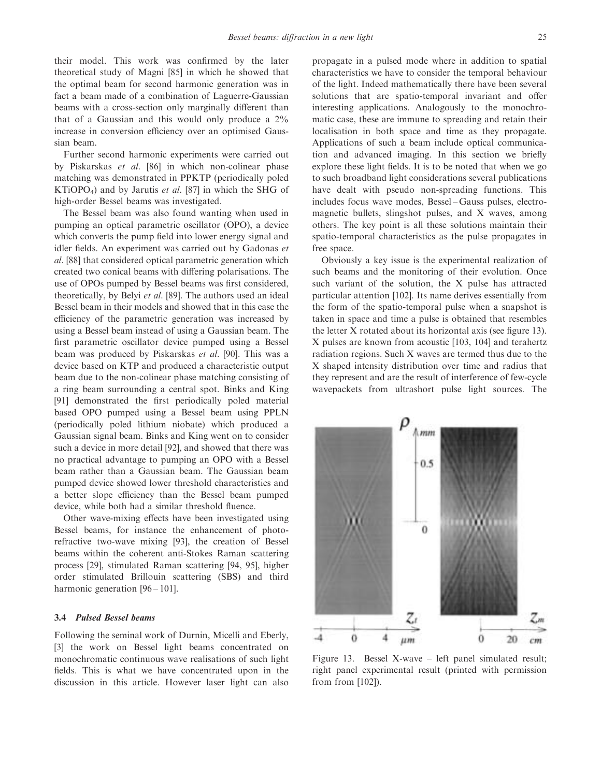their model. This work was confirmed by the later theoretical study of Magni [85] in which he showed that the optimal beam for second harmonic generation was in fact a beam made of a combination of Laguerre-Gaussian beams with a cross-section only marginally different than that of a Gaussian and this would only produce a 2% increase in conversion efficiency over an optimised Gaussian beam.

Further second harmonic experiments were carried out by Piskarskas et al. [86] in which non-colinear phase matching was demonstrated in PPKTP (periodically poled KTiOPO<sub>4</sub>) and by Jarutis et al. [87] in which the SHG of high-order Bessel beams was investigated.

The Bessel beam was also found wanting when used in pumping an optical parametric oscillator (OPO), a device which converts the pump field into lower energy signal and idler fields. An experiment was carried out by Gadonas et al. [88] that considered optical parametric generation which created two conical beams with differing polarisations. The use of OPOs pumped by Bessel beams was first considered, theoretically, by Belyi et al. [89]. The authors used an ideal Bessel beam in their models and showed that in this case the efficiency of the parametric generation was increased by using a Bessel beam instead of using a Gaussian beam. The first parametric oscillator device pumped using a Bessel beam was produced by Piskarskas et al. [90]. This was a device based on KTP and produced a characteristic output beam due to the non-colinear phase matching consisting of a ring beam surrounding a central spot. Binks and King [91] demonstrated the first periodically poled material based OPO pumped using a Bessel beam using PPLN (periodically poled lithium niobate) which produced a Gaussian signal beam. Binks and King went on to consider such a device in more detail [92], and showed that there was no practical advantage to pumping an OPO with a Bessel beam rather than a Gaussian beam. The Gaussian beam pumped device showed lower threshold characteristics and a better slope efficiency than the Bessel beam pumped device, while both had a similar threshold fluence.

Other wave-mixing effects have been investigated using Bessel beams, for instance the enhancement of photorefractive two-wave mixing [93], the creation of Bessel beams within the coherent anti-Stokes Raman scattering process [29], stimulated Raman scattering [94, 95], higher order stimulated Brillouin scattering (SBS) and third harmonic generation [96 – 101].

# 3.4 Pulsed Bessel beams

Following the seminal work of Durnin, Micelli and Eberly, [3] the work on Bessel light beams concentrated on monochromatic continuous wave realisations of such light fields. This is what we have concentrated upon in the discussion in this article. However laser light can also

propagate in a pulsed mode where in addition to spatial characteristics we have to consider the temporal behaviour of the light. Indeed mathematically there have been several solutions that are spatio-temporal invariant and offer interesting applications. Analogously to the monochromatic case, these are immune to spreading and retain their localisation in both space and time as they propagate. Applications of such a beam include optical communication and advanced imaging. In this section we briefly explore these light fields. It is to be noted that when we go to such broadband light considerations several publications have dealt with pseudo non-spreading functions. This includes focus wave modes, Bessel – Gauss pulses, electromagnetic bullets, slingshot pulses, and X waves, among others. The key point is all these solutions maintain their spatio-temporal characteristics as the pulse propagates in free space.

Obviously a key issue is the experimental realization of such beams and the monitoring of their evolution. Once such variant of the solution, the X pulse has attracted particular attention [102]. Its name derives essentially from the form of the spatio-temporal pulse when a snapshot is taken in space and time a pulse is obtained that resembles the letter X rotated about its horizontal axis (see figure 13). X pulses are known from acoustic [103, 104] and terahertz radiation regions. Such X waves are termed thus due to the X shaped intensity distribution over time and radius that they represent and are the result of interference of few-cycle wavepackets from ultrashort pulse light sources. The



Figure 13. Bessel X-wave – left panel simulated result; right panel experimental result (printed with permission from from [102]).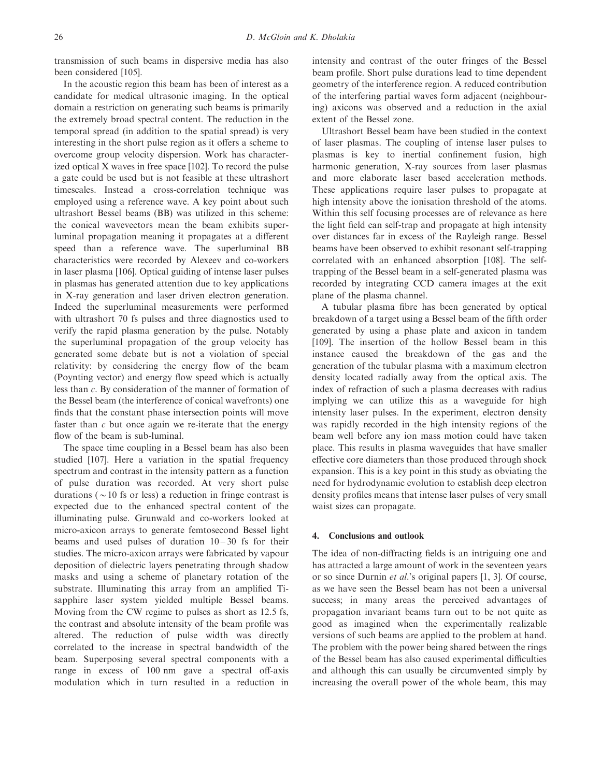transmission of such beams in dispersive media has also been considered [105].

In the acoustic region this beam has been of interest as a candidate for medical ultrasonic imaging. In the optical domain a restriction on generating such beams is primarily the extremely broad spectral content. The reduction in the temporal spread (in addition to the spatial spread) is very interesting in the short pulse region as it offers a scheme to overcome group velocity dispersion. Work has characterized optical X waves in free space [102]. To record the pulse a gate could be used but is not feasible at these ultrashort timescales. Instead a cross-correlation technique was employed using a reference wave. A key point about such ultrashort Bessel beams (BB) was utilized in this scheme: the conical wavevectors mean the beam exhibits superluminal propagation meaning it propagates at a different speed than a reference wave. The superluminal BB characteristics were recorded by Alexeev and co-workers in laser plasma [106]. Optical guiding of intense laser pulses in plasmas has generated attention due to key applications in X-ray generation and laser driven electron generation. Indeed the superluminal measurements were performed with ultrashort 70 fs pulses and three diagnostics used to verify the rapid plasma generation by the pulse. Notably the superluminal propagation of the group velocity has generated some debate but is not a violation of special relativity: by considering the energy flow of the beam (Poynting vector) and energy flow speed which is actually less than c. By consideration of the manner of formation of the Bessel beam (the interference of conical wavefronts) one finds that the constant phase intersection points will move faster than  $c$  but once again we re-iterate that the energy flow of the beam is sub-luminal.

The space time coupling in a Bessel beam has also been studied [107]. Here a variation in the spatial frequency spectrum and contrast in the intensity pattern as a function of pulse duration was recorded. At very short pulse durations ( $\sim$ 10 fs or less) a reduction in fringe contrast is expected due to the enhanced spectral content of the illuminating pulse. Grunwald and co-workers looked at micro-axicon arrays to generate femtosecond Bessel light beams and used pulses of duration  $10 - 30$  fs for their studies. The micro-axicon arrays were fabricated by vapour deposition of dielectric layers penetrating through shadow masks and using a scheme of planetary rotation of the substrate. Illuminating this array from an amplified Tisapphire laser system yielded multiple Bessel beams. Moving from the CW regime to pulses as short as 12.5 fs, the contrast and absolute intensity of the beam profile was altered. The reduction of pulse width was directly correlated to the increase in spectral bandwidth of the beam. Superposing several spectral components with a range in excess of 100 nm gave a spectral off-axis modulation which in turn resulted in a reduction in intensity and contrast of the outer fringes of the Bessel beam profile. Short pulse durations lead to time dependent geometry of the interference region. A reduced contribution of the interfering partial waves form adjacent (neighbouring) axicons was observed and a reduction in the axial extent of the Bessel zone.

Ultrashort Bessel beam have been studied in the context of laser plasmas. The coupling of intense laser pulses to plasmas is key to inertial confinement fusion, high harmonic generation, X-ray sources from laser plasmas and more elaborate laser based acceleration methods. These applications require laser pulses to propagate at high intensity above the ionisation threshold of the atoms. Within this self focusing processes are of relevance as here the light field can self-trap and propagate at high intensity over distances far in excess of the Rayleigh range. Bessel beams have been observed to exhibit resonant self-trapping correlated with an enhanced absorption [108]. The selftrapping of the Bessel beam in a self-generated plasma was recorded by integrating CCD camera images at the exit plane of the plasma channel.

A tubular plasma fibre has been generated by optical breakdown of a target using a Bessel beam of the fifth order generated by using a phase plate and axicon in tandem [109]. The insertion of the hollow Bessel beam in this instance caused the breakdown of the gas and the generation of the tubular plasma with a maximum electron density located radially away from the optical axis. The index of refraction of such a plasma decreases with radius implying we can utilize this as a waveguide for high intensity laser pulses. In the experiment, electron density was rapidly recorded in the high intensity regions of the beam well before any ion mass motion could have taken place. This results in plasma waveguides that have smaller effective core diameters than those produced through shock expansion. This is a key point in this study as obviating the need for hydrodynamic evolution to establish deep electron density profiles means that intense laser pulses of very small waist sizes can propagate.

#### 4. Conclusions and outlook

The idea of non-diffracting fields is an intriguing one and has attracted a large amount of work in the seventeen years or so since Durnin et al.'s original papers [1, 3]. Of course, as we have seen the Bessel beam has not been a universal success; in many areas the perceived advantages of propagation invariant beams turn out to be not quite as good as imagined when the experimentally realizable versions of such beams are applied to the problem at hand. The problem with the power being shared between the rings of the Bessel beam has also caused experimental difficulties and although this can usually be circumvented simply by increasing the overall power of the whole beam, this may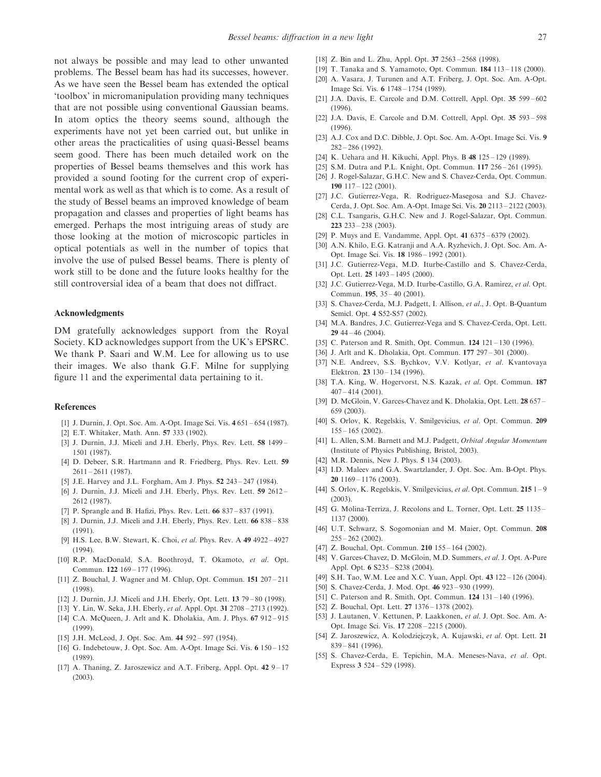not always be possible and may lead to other unwanted problems. The Bessel beam has had its successes, however. As we have seen the Bessel beam has extended the optical 'toolbox' in micromanipulation providing many techniques that are not possible using conventional Gaussian beams. In atom optics the theory seems sound, although the experiments have not yet been carried out, but unlike in other areas the practicalities of using quasi-Bessel beams seem good. There has been much detailed work on the properties of Bessel beams themselves and this work has provided a sound footing for the current crop of experimental work as well as that which is to come. As a result of the study of Bessel beams an improved knowledge of beam propagation and classes and properties of light beams has emerged. Perhaps the most intriguing areas of study are those looking at the motion of microscopic particles in optical potentials as well in the number of topics that involve the use of pulsed Bessel beams. There is plenty of work still to be done and the future looks healthy for the still controversial idea of a beam that does not diffract.

# Acknowledgments

DM gratefully acknowledges support from the Royal Society. KD acknowledges support from the UK's EPSRC. We thank P. Saari and W.M. Lee for allowing us to use their images. We also thank G.F. Milne for supplying figure 11 and the experimental data pertaining to it.

#### References

- [1] J. Durnin, J. Opt. Soc. Am. A-Opt. Image Sci. Vis. 4 651 654 (1987).
- [2] E.T. Whitaker, Math. Ann. 57 333 (1902). [3] J. Durnin, J.J. Miceli and J.H. Eberly, Phys. Rev. Lett. 58 1499 –
- 1501 (1987).
- [4] D. Debeer, S.R. Hartmann and R. Friedberg, Phys. Rev. Lett. 59  $2611 - 2611$  (1987).
- [5] J.E. Harvey and J.L. Forgham, Am J. Phys. 52 243 247 (1984).
- [6] J. Durnin, J.J. Miceli and J.H. Eberly, Phys. Rev. Lett. 59 2612 -2612 (1987).
- [7] P. Sprangle and B. Hafizi, Phys. Rev. Lett. 66 837 837 (1991).
- [8] J. Durnin, J.J. Miceli and J.H. Eberly, Phys. Rev. Lett. 66 838 838 (1991).
- [9] H.S. Lee, B.W. Stewart, K. Choi, et al. Phys. Rev. A 49 4922-4927 (1994).
- [10] R.P. MacDonald, S.A. Boothroyd, T. Okamoto, et al. Opt. Commun. 122 169-177 (1996).
- [11] Z. Bouchal, J. Wagner and M. Chlup, Opt. Commun. 151 207-211 (1998).
- [12] J. Durnin, J.J. Miceli and J.H. Eberly, Opt. Lett. 13 79 80 (1998).
- [13] Y. Lin, W. Seka, J.H. Eberly, et al. Appl. Opt. 31 2708 2713 (1992).
- [14] C.A. McQueen, J. Arlt and K. Dholakia, Am. J. Phys. 67 912-915 (1999).
- [15] J.H. McLeod, J. Opt. Soc. Am. 44 592 597 (1954).
- [16] G. Indebetouw, J. Opt. Soc. Am. A-Opt. Image Sci. Vis. 6 150 152 (1989).
- [17] A. Thaning, Z. Jaroszewicz and A.T. Friberg, Appl. Opt.  $429-17$ (2003).
- [18] Z. Bin and L. Zhu, Appl. Opt. 37 2563 2568 (1998).
- [19] T. Tanaka and S. Yamamoto, Opt. Commun. 184 113-118 (2000).
- [20] A. Vasara, J. Turunen and A.T. Friberg, J. Opt. Soc. Am. A-Opt. Image Sci. Vis. 6 1748 – 1754 (1989).
- [21] J.A. Davis, E. Carcole and D.M. Cottrell, Appl. Opt. 35 599 602 (1996).
- [22] J.A. Davis, E. Carcole and D.M. Cottrell, Appl. Opt. 35 593-598 (1996).
- [23] A.J. Cox and D.C. Dibble, J. Opt. Soc. Am. A-Opt. Image Sci. Vis. 9 282 – 286 (1992).
- [24] K. Uehara and H. Kikuchi, Appl. Phys. B 48 125-129 (1989).
- [25] S.M. Dutra and P.L. Knight, Opt. Commun. 117 256 261 (1995).
- [26] J. Rogel-Salazar, G.H.C. New and S. Chavez-Cerda, Opt. Commun. 190 117 – 122 (2001).
- [27] J.C. Gutierrez-Vega, R. Rodriguez-Masegosa and S.J. Chavez-Cerda, J. Opt. Soc. Am. A-Opt. Image Sci. Vis. 20 2113 – 2122 (2003).
- [28] C.L. Tsangaris, G.H.C. New and J. Rogel-Salazar, Opt. Commun. 223 233 – 238 (2003).
- [29] P. Muys and E. Vandamme, Appl. Opt. 41 6375 6379 (2002).
- [30] A.N. Khilo, E.G. Katranji and A.A. Ryzhevich, J. Opt. Soc. Am. A-Opt. Image Sci. Vis. 18 1986 – 1992 (2001).
- [31] J.C. Gutierrez-Vega, M.D. Iturbe-Castillo and S. Chavez-Cerda, Opt. Lett. 25 1493 – 1495 (2000).
- [32] J.C. Gutierrez-Vega, M.D. Iturbe-Castillo, G.A. Ramirez, et al. Opt. Commun. 195, 35 – 40 (2001).
- [33] S. Chavez-Cerda, M.J. Padgett, I. Allison, et al., J. Opt. B-Quantum Semicl. Opt. 4 S52-S57 (2002).
- [34] M.A. Bandres, J.C. Gutierrez-Vega and S. Chavez-Cerda, Opt. Lett. 29 44 – 46 (2004).
- [35] C. Paterson and R. Smith, Opt. Commun. 124 121 130 (1996).
- [36] J. Arlt and K. Dholakia, Opt. Commun. 177 297 301 (2000).
- [37] N.E. Andreev, S.S. Bychkov, V.V. Kotlyar, et al. Kvantovaya Elektron. 23 130 - 134 (1996).
- [38] T.A. King, W. Hogervorst, N.S. Kazak, et al. Opt. Commun. 187  $407 - 414(2001)$
- [39] D. McGloin, V. Garces-Chavez and K. Dholakia, Opt. Lett. 28 657 659 (2003).
- [40] S. Orlov, K. Regelskis, V. Smilgevicius, et al. Opt. Commun. 209  $155 - 165$  (2002).
- [41] L. Allen, S.M. Barnett and M.J. Padgett, Orbital Angular Momentum (Institute of Physics Publishing, Bristol, 2003).
- [42] M.R. Dennis, New J. Phys. **5** 134 (2003).
- [43] I.D. Maleev and G.A. Swartzlander, J. Opt. Soc. Am. B-Opt. Phys. 20 1169 – 1176 (2003).
- [44] S. Orlov, K. Regelskis, V. Smilgevicius, et al. Opt. Commun. 215 1–9 (2003).
- [45] G. Molina-Terriza, J. Recolons and L. Torner, Opt. Lett. 25 1135 1137 (2000).
- [46] U.T. Schwarz, S. Sogomonian and M. Maier, Opt. Commun. 208 255 – 262 (2002).
- [47] Z. Bouchal, Opt. Commun. 210 155 164 (2002).
- [48] V. Garces-Chavez, D. McGloin, M.D. Summers, et al. J. Opt. A-Pure Appl. Opt. 6 S235 – S238 (2004).
- [49] S.H. Tao, W.M. Lee and X.C. Yuan, Appl. Opt. 43 122 126 (2004).
- [50] S. Chavez-Cerda, J. Mod. Opt. 46 923 930 (1999).
- [51] C. Paterson and R. Smith, Opt. Commun. **124** 131 140 (1996).
- [52] Z. Bouchal, Opt. Lett. **27** 1376 1378 (2002).
- [53] J. Lautanen, V. Kettunen, P. Laakkonen, et al. J. Opt. Soc. Am. A-Opt. Image Sci. Vis. 17 2208 – 2215 (2000).
- [54] Z. Jaroszewicz, A. Kolodziejczyk, A. Kujawski, et al. Opt. Lett. 21 839 – 841 (1996).
- [55] S. Chavez-Cerda, E. Tepichin, M.A. Meneses-Nava, et al. Opt. Express 3 524 – 529 (1998).